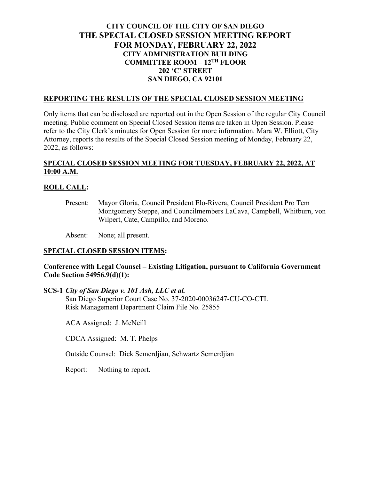# **CITY COUNCIL OF THE CITY OF SAN DIEGO THE SPECIAL CLOSED SESSION MEETING REPORT FOR MONDAY, FEBRUARY 22, 2022 CITY ADMINISTRATION BUILDING COMMITTEE ROOM – 12TH FLOOR 202 'C' STREET SAN DIEGO, CA 92101**

#### **REPORTING THE RESULTS OF THE SPECIAL CLOSED SESSION MEETING**

Only items that can be disclosed are reported out in the Open Session of the regular City Council meeting. Public comment on Special Closed Session items are taken in Open Session. Please refer to the City Clerk's minutes for Open Session for more information. Mara W. Elliott, City Attorney, reports the results of the Special Closed Session meeting of Monday, February 22, 2022, as follows:

## **SPECIAL CLOSED SESSION MEETING FOR TUESDAY, FEBRUARY 22, 2022, AT 10:00 A.M.**

### **ROLL CALL:**

Present: Mayor Gloria, Council President Elo-Rivera, Council President Pro Tem Montgomery Steppe, and Councilmembers LaCava, Campbell, Whitburn, von Wilpert, Cate, Campillo, and Moreno.

Absent: None; all present.

### **SPECIAL CLOSED SESSION ITEMS:**

### **Conference with Legal Counsel – Existing Litigation, pursuant to California Government Code Section 54956.9(d)(1):**

**SCS-1** *City of San Diego v. 101 Ash, LLC et al.*

San Diego Superior Court Case No. 37-2020-00036247-CU-CO-CTL Risk Management Department Claim File No. 25855

ACA Assigned: J. McNeill

CDCA Assigned: M. T. Phelps

Outside Counsel: Dick Semerdjian, Schwartz Semerdjian

Report: Nothing to report.